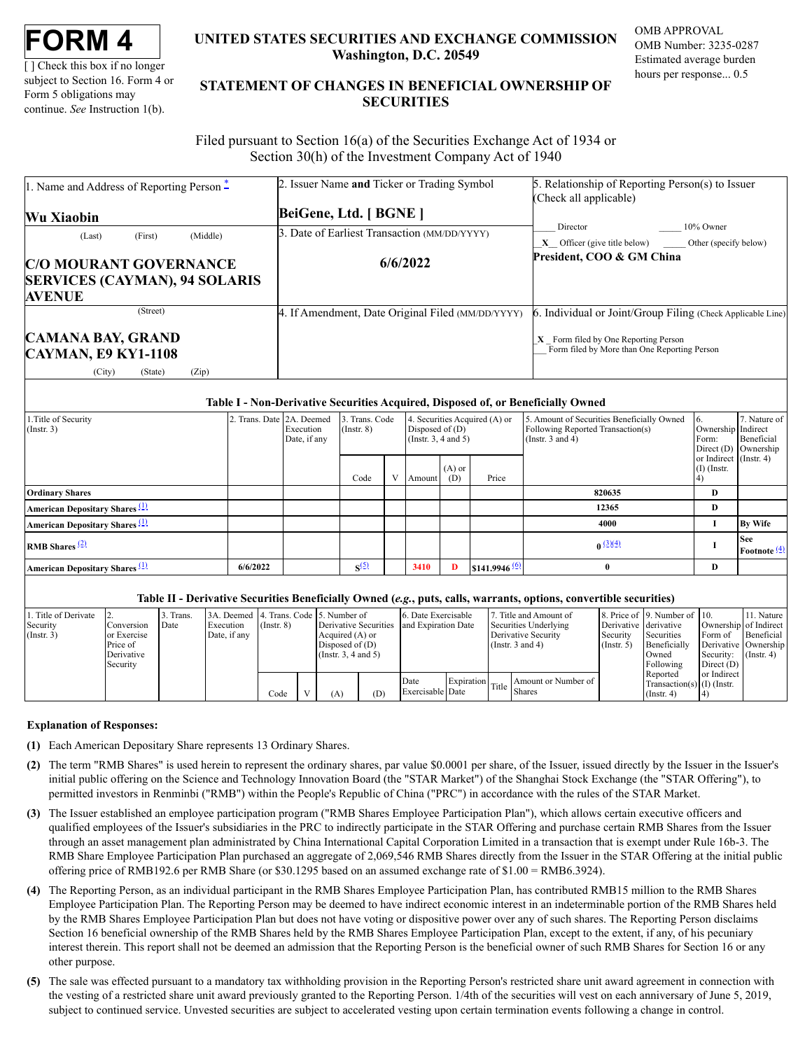[ ] Check this box if no longer subject to Section 16. Form 4 or Form 5 obligations may continue. *See* Instruction 1(b).

# **UNITED STATES SECURITIES AND EXCHANGE COMMISSION Washington, D.C. 20549**

OMB APPROVAL OMB Number: 3235-0287 Estimated average burden hours per response... 0.5

# **STATEMENT OF CHANGES IN BENEFICIAL OWNERSHIP OF SECURITIES**

Filed pursuant to Section 16(a) of the Securities Exchange Act of 1934 or Section 30(h) of the Investment Company Act of 1940

| 1. Name and Address of Reporting Person $*$            | 2. Issuer Name and Ticker or Trading Symbol       | 5. Relationship of Reporting Person(s) to Issuer                                       |  |  |  |  |
|--------------------------------------------------------|---------------------------------------------------|----------------------------------------------------------------------------------------|--|--|--|--|
|                                                        |                                                   | (Check all applicable)                                                                 |  |  |  |  |
| <b>Wu Xiaobin</b>                                      | BeiGene, Ltd. [ BGNE ]                            |                                                                                        |  |  |  |  |
| (Middle)<br>(First)<br>(Last)                          | 3. Date of Earliest Transaction (MM/DD/YYYY)      | 10% Owner<br>Director                                                                  |  |  |  |  |
|                                                        |                                                   | $X$ Officer (give title below) _________ Other (specify below)                         |  |  |  |  |
| <b>C/O MOURANT GOVERNANCE</b>                          | 6/6/2022                                          | President, COO & GM China                                                              |  |  |  |  |
| <b>SERVICES (CAYMAN), 94 SOLARIS</b>                   |                                                   |                                                                                        |  |  |  |  |
| <b>AVENUE</b>                                          |                                                   |                                                                                        |  |  |  |  |
| (Street)                                               | 4. If Amendment, Date Original Filed (MM/DD/YYYY) | 6. Individual or Joint/Group Filing (Check Applicable Line)                            |  |  |  |  |
| <b>CAMANA BAY, GRAND</b><br><b>CAYMAN, E9 KY1-1108</b> |                                                   | $X$ Form filed by One Reporting Person<br>Form filed by More than One Reporting Person |  |  |  |  |
| (City)<br>(Zip)<br>(State)                             |                                                   |                                                                                        |  |  |  |  |

### **Table I - Non-Derivative Securities Acquired, Disposed of, or Beneficially Owned**

| .Title of Security<br>$($ Instr. 3 $)$           | 2. Trans. Date 2A. Deemed | Execution<br>Date, if any | 3. Trans. Code<br>$($ Instr. $8)$ |   | Disposed of $(D)$<br>(Instr. $3, 4$ and $5$ ) |                 | 4. Securities Acquired (A) or | 5. Amount of Securities Beneficially Owned<br>Following Reported Transaction(s)<br>(Instr. $3$ and $4$ ) | Ownership Indirect<br>Form:             | 7. Nature of<br>Beneficial<br>Direct $(D)$ Ownership |
|--------------------------------------------------|---------------------------|---------------------------|-----------------------------------|---|-----------------------------------------------|-----------------|-------------------------------|----------------------------------------------------------------------------------------------------------|-----------------------------------------|------------------------------------------------------|
|                                                  |                           |                           | Code                              | V | Amount                                        | $(A)$ or<br>(D) | Price                         |                                                                                                          | or Indirect (Instr. 4)<br>$(I)$ (Instr. |                                                      |
| <b>Ordinary Shares</b>                           |                           |                           |                                   |   |                                               |                 |                               | 820635                                                                                                   | D                                       |                                                      |
| <b>American Depositary Shares</b> (1)            |                           |                           |                                   |   |                                               |                 |                               | 12365                                                                                                    | D                                       |                                                      |
| American Depositary Shares (1)                   |                           |                           |                                   |   |                                               |                 |                               | 4000                                                                                                     |                                         | <b>By Wife</b>                                       |
| <b>RMB</b> Shares $\frac{(2)}{2}$                |                           |                           |                                   |   |                                               |                 |                               | $0^{(3)(4)}$                                                                                             |                                         | <b>See</b><br>Footnote $\frac{4}{3}$                 |
| <b>American Depositary Shares</b> <sup>(1)</sup> | 6/6/2022                  |                           | S <sub>2</sub> (5)                |   | 3410                                          | D               | $$141.9946 \frac{(6)}{2}$     | $^{\circ}$                                                                                               | D                                       |                                                      |
|                                                  |                           |                           |                                   |   |                                               |                 |                               |                                                                                                          |                                         |                                                      |

### **Table II - Derivative Securities Beneficially Owned (***e.g.***, puts, calls, warrants, options, convertible securities)**

| 1. Title of Derivate |              | Trans. | 3A. Deemed 4. Trans. Code 5. Number of |                 |                           |     | 6. Date Exercisable |  | Title and Amount of                            |                       | 8. Price of 9. Number of 10. |                       | 11. Nature       |
|----------------------|--------------|--------|----------------------------------------|-----------------|---------------------------|-----|---------------------|--|------------------------------------------------|-----------------------|------------------------------|-----------------------|------------------|
| Security             | l Conversion | Date   | Execution                              | $($ Instr. $8)$ | Derivative Securities     |     | and Expiration Date |  | Securities Underlying                          | Derivative derivative |                              | Ownership of Indirect |                  |
| $($ Instr. 3)        | or Exercise  |        | Date, if any                           |                 | Acquired $(A)$ or         |     |                     |  | Derivative Security                            | Security              | Securities                   | Form of               | Beneficial       |
|                      | Price of     |        |                                        |                 | Disposed of $(D)$         |     |                     |  | (Instr. $3$ and $4$ )                          | $($ Instr. 5 $)$      | Beneficially                 | Derivative Ownership  |                  |
|                      | Derivative   |        |                                        |                 | $($ Instr. 3, 4 and 5 $)$ |     |                     |  |                                                |                       | Owned                        | Security:             | $($ Instr. 4 $)$ |
|                      | Security     |        |                                        |                 |                           |     |                     |  |                                                |                       | Following                    | Direct $(D)$          |                  |
|                      |              |        |                                        |                 |                           |     |                     |  |                                                |                       | Reported                     | or Indirect           |                  |
|                      |              |        |                                        |                 |                           |     | Date                |  | Expiration Title Shares<br>Amount or Number of |                       | Transaction(s) $(I)$ (Instr. |                       |                  |
|                      |              |        |                                        | Code            | (A)                       | (D) | Exercisable Date    |  |                                                |                       | $($ Instr. 4 $)$             |                       |                  |

### **Explanation of Responses:**

- <span id="page-0-0"></span>**(1)** Each American Depositary Share represents 13 Ordinary Shares.
- <span id="page-0-1"></span>**(2)** The term "RMB Shares" is used herein to represent the ordinary shares, par value \$0.0001 per share, of the Issuer, issued directly by the Issuer in the Issuer's initial public offering on the Science and Technology Innovation Board (the "STAR Market") of the Shanghai Stock Exchange (the "STAR Offering"), to permitted investors in Renminbi ("RMB") within the People's Republic of China ("PRC") in accordance with the rules of the STAR Market.
- <span id="page-0-2"></span>**(3)** The Issuer established an employee participation program ("RMB Shares Employee Participation Plan"), which allows certain executive officers and qualified employees of the Issuer's subsidiaries in the PRC to indirectly participate in the STAR Offering and purchase certain RMB Shares from the Issuer through an asset management plan administrated by China International Capital Corporation Limited in a transaction that is exempt under Rule 16b-3. The RMB Share Employee Participation Plan purchased an aggregate of 2,069,546 RMB Shares directly from the Issuer in the STAR Offering at the initial public offering price of RMB192.6 per RMB Share (or \$30.1295 based on an assumed exchange rate of \$1.00 = RMB6.3924).
- <span id="page-0-3"></span>**(4)** The Reporting Person, as an individual participant in the RMB Shares Employee Participation Plan, has contributed RMB15 million to the RMB Shares Employee Participation Plan. The Reporting Person may be deemed to have indirect economic interest in an indeterminable portion of the RMB Shares held by the RMB Shares Employee Participation Plan but does not have voting or dispositive power over any of such shares. The Reporting Person disclaims Section 16 beneficial ownership of the RMB Shares held by the RMB Shares Employee Participation Plan, except to the extent, if any, of his pecuniary interest therein. This report shall not be deemed an admission that the Reporting Person is the beneficial owner of such RMB Shares for Section 16 or any other purpose.
- <span id="page-0-5"></span><span id="page-0-4"></span>**(5)** The sale was effected pursuant to a mandatory tax withholding provision in the Reporting Person's restricted share unit award agreement in connection with the vesting of a restricted share unit award previously granted to the Reporting Person. 1/4th of the securities will vest on each anniversary of June 5, 2019, subject to continued service. Unvested securities are subject to accelerated vesting upon certain termination events following a change in control.